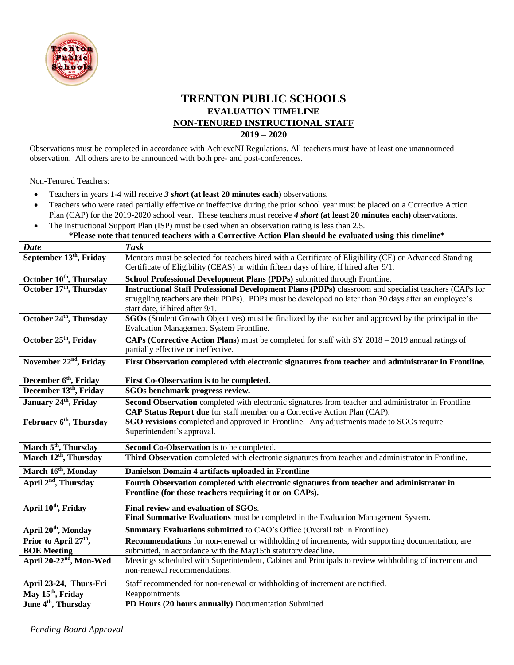

## **TRENTON PUBLIC SCHOOLS EVALUATION TIMELINE NON-TENURED INSTRUCTIONAL STAFF 2019 – 2020**

Observations must be completed in accordance with AchieveNJ Regulations. All teachers must have at least one unannounced observation. All others are to be announced with both pre- and post-conferences.

Non-Tenured Teachers:

- Teachers in years 1-4 will receive *3 short* **(at least 20 minutes each)** observations.
- Teachers who were rated partially effective or ineffective during the prior school year must be placed on a Corrective Action Plan (CAP) for the 2019-2020 school year. These teachers must receive *4 short* **(at least 20 minutes each)** observations.
- The Instructional Support Plan (ISP) must be used when an observation rating is less than 2.5. **\*Please note that tenured teachers with a Corrective Action Plan should be evaluated using this timeline\***

| <b>Date</b>                         | <b>Task</b>                                                                                                   |
|-------------------------------------|---------------------------------------------------------------------------------------------------------------|
| September 13 <sup>th</sup> , Friday | Mentors must be selected for teachers hired with a Certificate of Eligibility (CE) or Advanced Standing       |
|                                     | Certificate of Eligibility (CEAS) or within fifteen days of hire, if hired after 9/1.                         |
| October 10 <sup>th</sup> , Thursday | School Professional Development Plans (PDPs) submitted through Frontline.                                     |
| October 17th, Thursday              | <b>Instructional Staff Professional Development Plans (PDPs)</b> classroom and specialist teachers (CAPs for  |
|                                     | struggling teachers are their PDPs). PDPs must be developed no later than 30 days after an employee's         |
|                                     | start date, if hired after 9/1.                                                                               |
| October 24 <sup>th</sup> , Thursday | <b>SGOs</b> (Student Growth Objectives) must be finalized by the teacher and approved by the principal in the |
|                                     | <b>Evaluation Management System Frontline.</b>                                                                |
| October 25 <sup>th</sup> , Friday   | CAPs (Corrective Action Plans) must be completed for staff with SY 2018 – 2019 annual ratings of              |
|                                     | partially effective or ineffective.                                                                           |
| November 22 <sup>nd</sup> , Friday  | First Observation completed with electronic signatures from teacher and administrator in Frontline.           |
|                                     |                                                                                                               |
| December 6 <sup>th</sup> , Friday   | First Co-Observation is to be completed.                                                                      |
| December 13 <sup>th</sup> , Friday  | SGOs benchmark progress review.                                                                               |
| January 24th, Friday                | Second Observation completed with electronic signatures from teacher and administrator in Frontline.          |
|                                     | CAP Status Report due for staff member on a Corrective Action Plan (CAP).                                     |
| February 6 <sup>th</sup> , Thursday | <b>SGO revisions</b> completed and approved in Frontline. Any adjustments made to SGOs require                |
|                                     | Superintendent's approval.                                                                                    |
| March 5 <sup>th</sup> , Thursday    | Second Co-Observation is to be completed.                                                                     |
| March 12 <sup>th</sup> , Thursday   | Third Observation completed with electronic signatures from teacher and administrator in Frontline.           |
| March 16th, Monday                  | Danielson Domain 4 artifacts uploaded in Frontline                                                            |
| April 2 <sup>nd</sup> , Thursday    | Fourth Observation completed with electronic signatures from teacher and administrator in                     |
|                                     | Frontline (for those teachers requiring it or on CAPs).                                                       |
| April 10 <sup>th</sup> , Friday     | Final review and evaluation of SGOs.                                                                          |
|                                     | Final Summative Evaluations must be completed in the Evaluation Management System.                            |
| April 20 <sup>th</sup> , Monday     | Summary Evaluations submitted to CAO's Office (Overall tab in Frontline).                                     |
| Prior to April 27 <sup>th</sup> ,   | <b>Recommendations</b> for non-renewal or withholding of increments, with supporting documentation, are       |
| <b>BOE Meeting</b>                  | submitted, in accordance with the May15th statutory deadline.                                                 |
| April 20-22 <sup>nd</sup> , Mon-Wed | Meetings scheduled with Superintendent, Cabinet and Principals to review withholding of increment and         |
|                                     | non-renewal recommendations.                                                                                  |
| April 23-24, Thurs-Fri              | Staff recommended for non-renewal or withholding of increment are notified.                                   |
| May 15 <sup>th</sup> , Friday       | Reappointments                                                                                                |
| June 4 <sup>th</sup> , Thursday     | PD Hours (20 hours annually) Documentation Submitted                                                          |